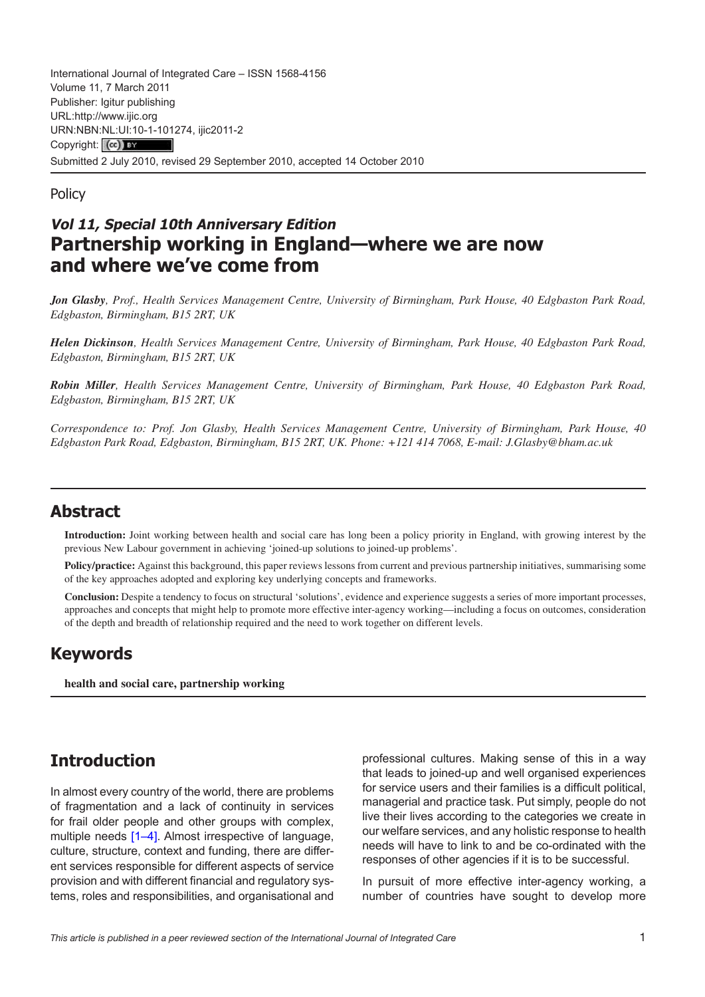International Journal of Integrated Care – ISSN 1568-4156 Volume 11, 7 March 2011 Publisher: Igitur publishing URL[:http://www.ijic.org](http://www.ijic.org) URN:NBN[:NL:UI:10-1-1012](http://creativecommons.org/licenses/by/3.0/)74, ijic2011-2 Copyright: (cc) Submitted 2 July 2010, revised 29 September 2010, accepted 14 October 2010

**Policy** 

# **Vol 11, Special 10th Anniversary Edition Partnership working in England—where we are now and where we've come from**

*Jon Glasby, Prof., Health Services Management Centre, University of Birmingham, Park House, 40 Edgbaston Park Road, Edgbaston, Birmingham, B15 2RT, UK*

*Helen Dickinson, Health Services Management Centre, University of Birmingham, Park House, 40 Edgbaston Park Road, Edgbaston, Birmingham, B15 2RT, UK*

*Robin Miller, Health Services Management Centre, University of Birmingham, Park House, 40 Edgbaston Park Road, Edgbaston, Birmingham, B15 2RT, UK*

*Correspondence to: Prof. Jon Glasby, Health Services Management Centre, University of Birmingham, Park House, 40 Edgbaston Park Road, Edgbaston, Birmingham, B15 2RT, UK. Phone: +121 414 7068, E-mail: [J.Glasby@bham.ac.uk](mailto:J.Glasby@bham.ac.uk)*

#### **Abstract**

**Introduction:** Joint working between health and social care has long been a policy priority in England, with growing interest by the previous New Labour government in achieving 'joined-up solutions to joined-up problems'.

**Policy/practice:** Against this background, this paper reviews lessons from current and previous partnership initiatives, summarising some of the key approaches adopted and exploring key underlying concepts and frameworks.

**Conclusion:** Despite a tendency to focus on structural 'solutions', evidence and experience suggests a series of more important processes, approaches and concepts that might help to promote more effective inter-agency working—including a focus on outcomes, consideration of the depth and breadth of relationship required and the need to work together on different levels.

#### **Keywords**

**health and social care, partnership working**

# **Introduction**

In almost every country of the world, there are problems of fragmentation and a lack of continuity in services for frail older people and other groups with complex, multiple needs [[1](#page-6-0)–[4](#page-6-0)]. Almost irrespective of language, culture, structure, context and funding, there are different services responsible for different aspects of service provision and with different financial and regulatory systems, roles and responsibilities, and organisational and professional cultures. Making sense of this in a way that leads to joined-up and well organised experiences for service users and their families is a difficult political, managerial and practice task. Put simply, people do not live their lives according to the categories we create in our welfare services, and any holistic response to health needs will have to link to and be co-ordinated with the responses of other agencies if it is to be successful.

In pursuit of more effective inter-agency working, a number of countries have sought to develop more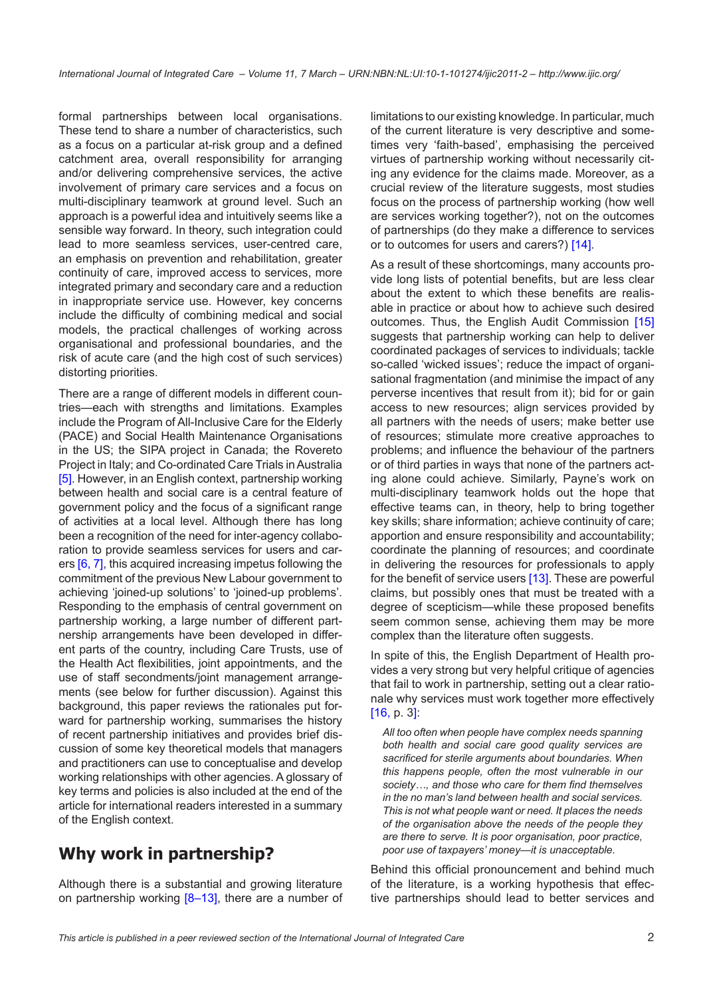formal partnerships between local organisations. These tend to share a number of characteristics, such as a focus on a particular at-risk group and a defined catchment area, overall responsibility for arranging and/or delivering comprehensive services, the active involvement of primary care services and a focus on multi-disciplinary teamwork at ground level. Such an approach is a powerful idea and intuitively seems like a sensible way forward. In theory, such integration could lead to more seamless services, user-centred care, an emphasis on prevention and rehabilitation, greater continuity of care, improved access to services, more integrated primary and secondary care and a reduction in inappropriate service use. However, key concerns include the difficulty of combining medical and social models, the practical challenges of working across organisational and professional boundaries, and the risk of acute care (and the high cost of such services) distorting priorities.

There are a range of different models in different countries—each with strengths and limitations. Examples include the Program of All-Inclusive Care for the Elderly (PACE) and Social Health Maintenance Organisations in the US; the SIPA project in Canada; the Rovereto Project in Italy; and Co-ordinated Care Trials in Australia [\[5\]](#page-6-0). However, in an English context, partnership working between health and social care is a central feature of government policy and the focus of a significant range of activities at a local level. Although there has long been a recognition of the need for inter-agency collaboration to provide seamless services for users and carers [\[6, 7](#page-6-0)], this acquired increasing impetus following the commitment of the previous New Labour government to achieving 'joined-up solutions' to 'joined-up problems'. Responding to the emphasis of central government on partnership working, a large number of different partnership arrangements have been developed in different parts of the country, including Care Trusts, use of the Health Act flexibilities, joint appointments, and the use of staff secondments/joint management arrangements (see below for further discussion). Against this background, this paper reviews the rationales put forward for partnership working, summarises the history of recent partnership initiatives and provides brief discussion of some key theoretical models that managers and practitioners can use to conceptualise and develop working relationships with other agencies. A glossary of key terms and policies is also included at the end of the article for international readers interested in a summary of the English context.

## **Why work in partnership?**

Although there is a substantial and growing literature on partnership working  $[8-13]$  $[8-13]$  $[8-13]$  $[8-13]$ , there are a number of limitations to our existing knowledge. In particular, much of the current literature is very descriptive and sometimes very 'faith-based', emphasising the perceived virtues of partnership working without necessarily citing any evidence for the claims made. Moreover, as a crucial review of the literature suggests, most studies focus on the process of partnership working (how well are services working together?), not on the outcomes of partnerships (do they make a difference to services or to outcomes for users and carers?) [\[14\]](#page-6-0).

As a result of these shortcomings, many accounts provide long lists of potential benefits, but are less clear about the extent to which these benefits are realisable in practice or about how to achieve such desired outcomes. Thus, the English Audit Commission [[15\]](#page-6-0) suggests that partnership working can help to deliver coordinated packages of services to individuals; tackle so-called 'wicked issues'; reduce the impact of organisational fragmentation (and minimise the impact of any perverse incentives that result from it); bid for or gain access to new resources; align services provided by all partners with the needs of users; make better use of resources; stimulate more creative approaches to problems; and influence the behaviour of the partners or of third parties in ways that none of the partners acting alone could achieve. Similarly, Payne's work on multi-disciplinary teamwork holds out the hope that effective teams can, in theory, help to bring together key skills; share information; achieve continuity of care; apportion and ensure responsibility and accountability; coordinate the planning of resources; and coordinate in delivering the resources for professionals to apply for the benefit of service users [\[13\]](#page-6-0). These are powerful claims, but possibly ones that must be treated with a degree of scepticism—while these proposed benefits seem common sense, achieving them may be more complex than the literature often suggests.

In spite of this, the English Department of Health provides a very strong but very helpful critique of agencies that fail to work in partnership, setting out a clear rationale why services must work together more effectively [[16](#page-6-0), p. 3]:

*All too often when people have complex needs spanning both health and social care good quality services are sacrificed for sterile arguments about boundaries. When this happens people, often the most vulnerable in our society…, and those who care for them find themselves in the no man's land between health and social services. This is not what people want or need. It places the needs of the organisation above the needs of the people they are there to serve. It is poor organisation, poor practice, poor use of taxpayers' money—it is unacceptable*.

Behind this official pronouncement and behind much of the literature, is a working hypothesis that effective partnerships should lead to better services and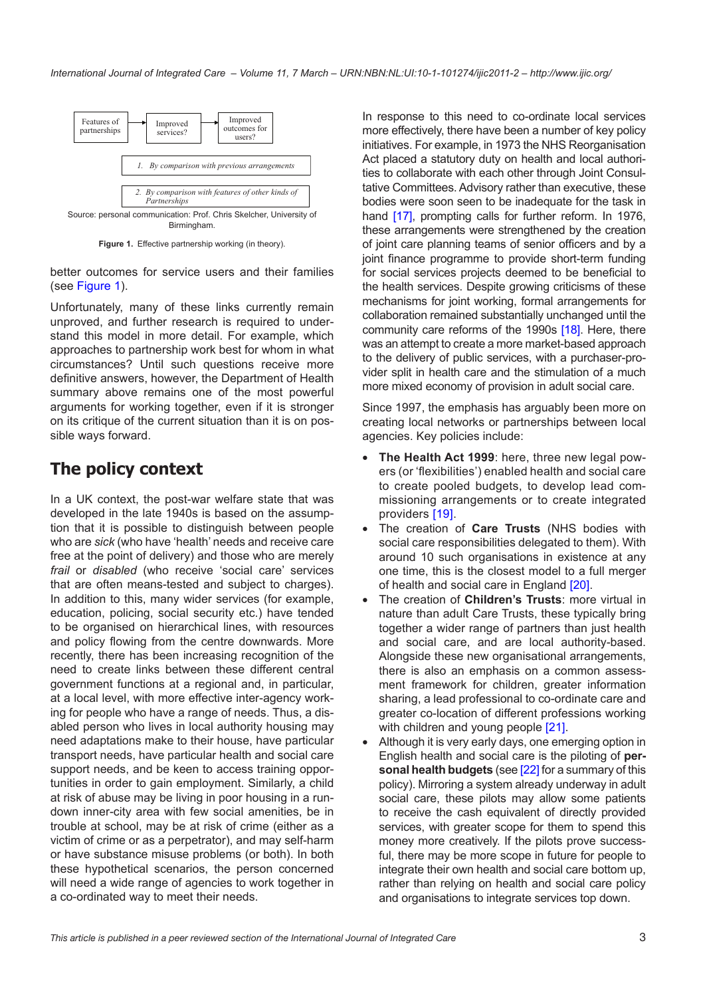

Figure 1. Effective partnership working (in theory).

better outcomes for service users and their families (see Figure 1).

Unfortunately, many of these links currently remain unproved, and further research is required to understand this model in more detail. For example, which approaches to partnership work best for whom in what circumstances? Until such questions receive more definitive answers, however, the Department of Health summary above remains one of the most powerful arguments for working together, even if it is stronger on its critique of the current situation than it is on possible ways forward.

# **The policy context**

In a UK context, the post-war welfare state that was developed in the late 1940s is based on the assumption that it is possible to distinguish between people who are *sick* (who have 'health' needs and receive care free at the point of delivery) and those who are merely *frail* or *disabled* (who receive 'social care' services that are often means-tested and subject to charges). In addition to this, many wider services (for example, education, policing, social security etc.) have tended to be organised on hierarchical lines, with resources and policy flowing from the centre downwards. More recently, there has been increasing recognition of the need to create links between these different central government functions at a regional and, in particular, at a local level, with more effective inter-agency working for people who have a range of needs. Thus, a disabled person who lives in local authority housing may need adaptations make to their house, have particular transport needs, have particular health and social care support needs, and be keen to access training opportunities in order to gain employment. Similarly, a child at risk of abuse may be living in poor housing in a rundown inner-city area with few social amenities, be in trouble at school, may be at risk of crime (either as a victim of crime or as a perpetrator), and may self-harm or have substance misuse problems (or both). In both these hypothetical scenarios, the person concerned will need a wide range of agencies to work together in a co-ordinated way to meet their needs.

In response to this need to co-ordinate local services more effectively, there have been a number of key policy initiatives. For example, in 1973 the NHS Reorganisation Act placed a statutory duty on health and local authorities to collaborate with each other through Joint Consultative Committees. Advisory rather than executive, these bodies were soon seen to be inadequate for the task in hand [[17\]](#page-7-0), prompting calls for further reform. In 1976, these arrangements were strengthened by the creation of joint care planning teams of senior officers and by a joint finance programme to provide short-term funding for social services projects deemed to be beneficial to the health services. Despite growing criticisms of these mechanisms for joint working, formal arrangements for collaboration remained substantially unchanged until the community care reforms of the 1990s [[18](#page-7-0)]. Here, there was an attempt to create a more market-based approach to the delivery of public services, with a purchaser-provider split in health care and the stimulation of a much more mixed economy of provision in adult social care.

Since 1997, the emphasis has arguably been more on creating local networks or partnerships between local agencies. Key policies include:

- **The Health Act 1999**: here, three new legal powers (or 'flexibilities') enabled health and social care to create pooled budgets, to develop lead commissioning arrangements or to create integrated providers [\[19\]](#page-7-0).
- The creation of **Care Trusts** (NHS bodies with social care responsibilities delegated to them). With around 10 such organisations in existence at any one time, this is the closest model to a full merger of health and social care in England [\[20](#page-7-0)].
- The creation of **Children's Trusts**: more virtual in nature than adult Care Trusts, these typically bring together a wider range of partners than just health and social care, and are local authority-based. Alongside these new organisational arrangements, there is also an emphasis on a common assessment framework for children, greater information sharing, a lead professional to co-ordinate care and greater co-location of different professions working with children and young people [[21\]](#page-7-0).
- Although it is very early days, one emerging option in English health and social care is the piloting of **personal health budgets** (see [\[22\]](#page-7-0) for a summary of this policy). Mirroring a system already underway in adult social care, these pilots may allow some patients to receive the cash equivalent of directly provided services, with greater scope for them to spend this money more creatively. If the pilots prove successful, there may be more scope in future for people to integrate their own health and social care bottom up, rather than relying on health and social care policy and organisations to integrate services top down.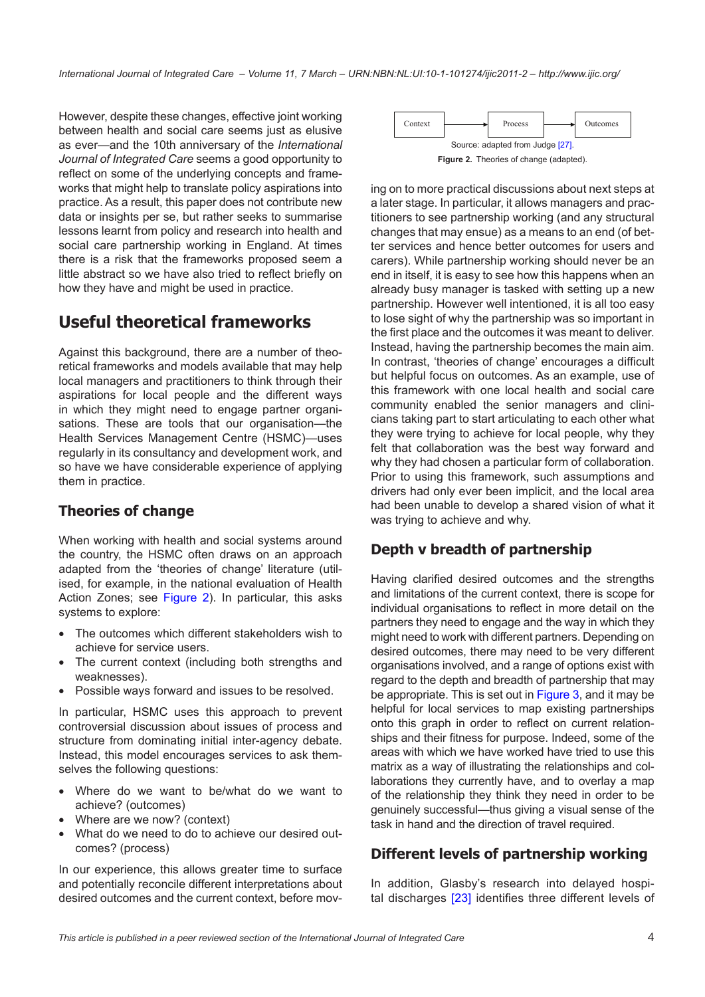However, despite these changes, effective joint working between health and social care seems just as elusive as ever—and the 10th anniversary of the *International Journal of Integrated Care* seems a good opportunity to reflect on some of the underlying concepts and frameworks that might help to translate policy aspirations into practice. As a result, this paper does not contribute new data or insights per se, but rather seeks to summarise lessons learnt from policy and research into health and social care partnership working in England. At times there is a risk that the frameworks proposed seem a little abstract so we have also tried to reflect briefly on how they have and might be used in practice.

## **Useful theoretical frameworks**

Against this background, there are a number of theoretical frameworks and models available that may help local managers and practitioners to think through their aspirations for local people and the different ways in which they might need to engage partner organisations. These are tools that our organisation—the Health Services Management Centre (HSMC)—uses regularly in its consultancy and development work, and so have we have considerable experience of applying them in practice.

#### **Theories of change**

When working with health and social systems around the country, the HSMC often draws on an approach adapted from the 'theories of change' literature (utilised, for example, in the national evaluation of Health Action Zones; see Figure 2). In particular, this asks systems to explore:

- The outcomes which different stakeholders wish to achieve for service users.
- The current context (including both strengths and weaknesses).
- Possible ways forward and issues to be resolved.

In particular, HSMC uses this approach to prevent controversial discussion about issues of process and structure from dominating initial inter-agency debate. Instead, this model encourages services to ask themselves the following questions:

- Where do we want to be/what do we want to achieve? (outcomes)
- Where are we now? (context)
- What do we need to do to achieve our desired outcomes? (process)

In our experience, this allows greater time to surface and potentially reconcile different interpretations about desired outcomes and the current context, before mov-



ing on to more practical discussions about next steps at a later stage. In particular, it allows managers and practitioners to see partnership working (and any structural changes that may ensue) as a means to an end (of better services and hence better outcomes for users and carers). While partnership working should never be an end in itself, it is easy to see how this happens when an already busy manager is tasked with setting up a new partnership. However well intentioned, it is all too easy to lose sight of why the partnership was so important in the first place and the outcomes it was meant to deliver. Instead, having the partnership becomes the main aim. In contrast, 'theories of change' encourages a difficult but helpful focus on outcomes. As an example, use of this framework with one local health and social care community enabled the senior managers and clinicians taking part to start articulating to each other what they were trying to achieve for local people, why they felt that collaboration was the best way forward and why they had chosen a particular form of collaboration. Prior to using this framework, such assumptions and drivers had only ever been implicit, and the local area had been unable to develop a shared vision of what it was trying to achieve and why.

#### **Depth v breadth of partnership**

Having clarified desired outcomes and the strengths and limitations of the current context, there is scope for individual organisations to reflect in more detail on the partners they need to engage and the way in which they might need to work with different partners. Depending on desired outcomes, there may need to be very different organisations involved, and a range of options exist with regard to the depth and breadth of partnership that may be appropriate. This is set out in [Figure 3](#page-4-0), and it may be helpful for local services to map existing partnerships onto this graph in order to reflect on current relationships and their fitness for purpose. Indeed, some of the areas with which we have worked have tried to use this matrix as a way of illustrating the relationships and collaborations they currently have, and to overlay a map of the relationship they think they need in order to be genuinely successful—thus giving a visual sense of the task in hand and the direction of travel required.

#### **Different levels of partnership working**

In addition, Glasby's research into delayed hospital discharges [[23](#page-7-0)] identifies three different levels of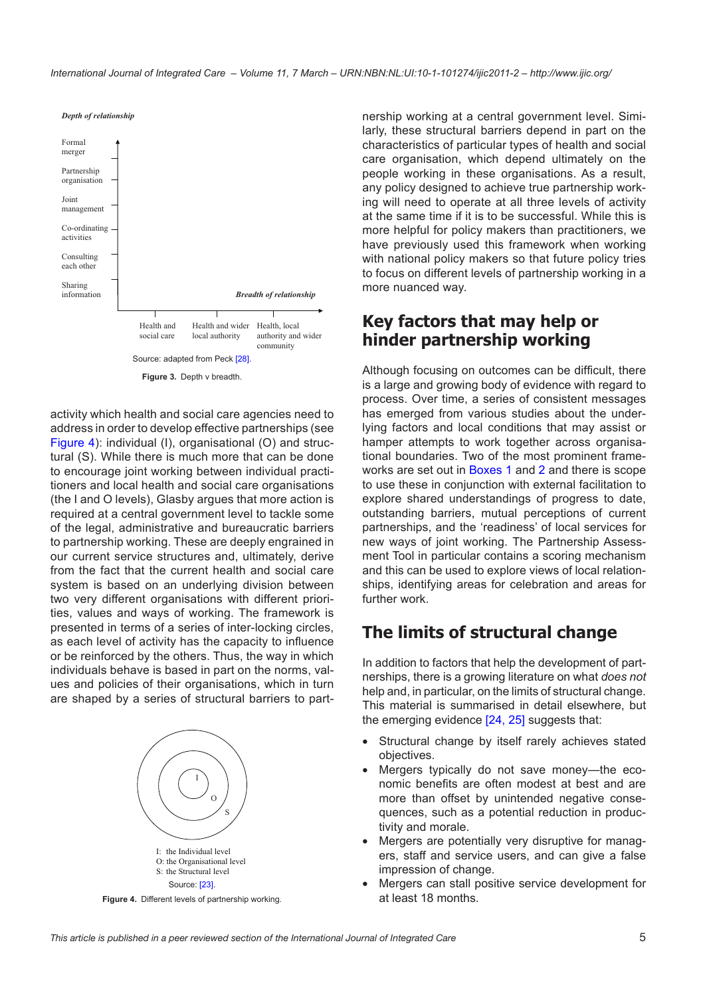#### <span id="page-4-0"></span>*Depth of relationship*



activity which health and social care agencies need to address in order to develop effective partnerships (see Figure 4): individual (I), organisational (O) and structural (S). While there is much more that can be done to encourage joint working between individual practitioners and local health and social care organisations (the I and O levels), Glasby argues that more action is required at a central government level to tackle some of the legal, administrative and bureaucratic barriers to partnership working. These are deeply engrained in our current service structures and, ultimately, derive from the fact that the current health and social care system is based on an underlying division between two very different organisations with different priorities, values and ways of working. The framework is presented in terms of a series of inter-locking circles, as each level of activity has the capacity to influence or be reinforced by the others. Thus, the way in which individuals behave is based in part on the norms, values and policies of their organisations, which in turn are shaped by a series of structural barriers to part-



**Figure 4.** Different levels of partnership working.

nership working at a central government level. Similarly, these structural barriers depend in part on the characteristics of particular types of health and social care organisation, which depend ultimately on the people working in these organisations. As a result, any policy designed to achieve true partnership working will need to operate at all three levels of activity at the same time if it is to be successful. While this is more helpful for policy makers than practitioners, we have previously used this framework when working with national policy makers so that future policy tries to focus on different levels of partnership working in a more nuanced way.

### **Key factors that may help or hinder partnership working**

Although focusing on outcomes can be difficult, there is a large and growing body of evidence with regard to process. Over time, a series of consistent messages has emerged from various studies about the underlying factors and local conditions that may assist or hamper attempts to work together across organisational boundaries. Two of the most prominent frameworks are set out in Boxes [1](#page-5-0) and [2](#page-5-0) and there is scope to use these in conjunction with external facilitation to explore shared understandings of progress to date, outstanding barriers, mutual perceptions of current partnerships, and the 'readiness' of local services for new ways of joint working. The Partnership Assessment Tool in particular contains a scoring mechanism and this can be used to explore views of local relationships, identifying areas for celebration and areas for further work.

#### **The limits of structural change**

In addition to factors that help the development of partnerships, there is a growing literature on what *does not* help and, in particular, on the limits of structural change. This material is summarised in detail elsewhere, but the emerging evidence [[24](#page-7-0), [25\]](#page-7-0) suggests that:

- Structural change by itself rarely achieves stated objectives.
- Mergers typically do not save money-the economic benefits are often modest at best and are more than offset by unintended negative consequences, such as a potential reduction in productivity and morale.
- Mergers are potentially very disruptive for managers, staff and service users, and can give a false impression of change.
- Mergers can stall positive service development for at least 18 months.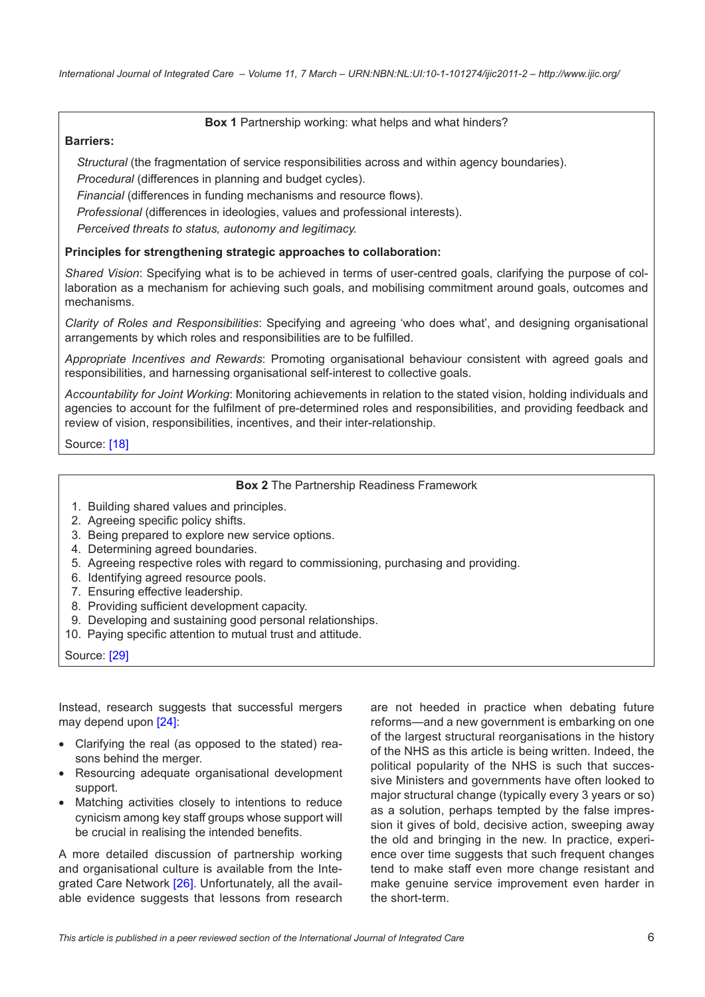**Box 1** Partnership working: what helps and what hinders?

#### <span id="page-5-0"></span>**Barriers:**

*Structural* (the fragmentation of service responsibilities across and within agency boundaries).

*Procedural* (differences in planning and budget cycles).

*Financial* (differences in funding mechanisms and resource flows).

*Professional* (differences in ideologies, values and professional interests).

*Perceived threats to status, autonomy and legitimacy.*

#### **Principles for strengthening strategic approaches to collaboration:**

*Shared Vision*: Specifying what is to be achieved in terms of user-centred goals, clarifying the purpose of collaboration as a mechanism for achieving such goals, and mobilising commitment around goals, outcomes and mechanisms.

*Clarity of Roles and Responsibilities*: Specifying and agreeing 'who does what', and designing organisational arrangements by which roles and responsibilities are to be fulfilled.

*Appropriate Incentives and Rewards*: Promoting organisational behaviour consistent with agreed goals and responsibilities, and harnessing organisational self-interest to collective goals.

*Accountability for Joint Working*: Monitoring achievements in relation to the stated vision, holding individuals and agencies to account for the fulfilment of pre-determined roles and responsibilities, and providing feedback and review of vision, responsibilities, incentives, and their inter-relationship.

Source: [[18\]](#page-7-0)

#### **Box 2** The Partnership Readiness Framework

- 1. Building shared values and principles.
- 2. Agreeing specific policy shifts.
- 3. Being prepared to explore new service options.
- 4. Determining agreed boundaries.
- 5. Agreeing respective roles with regard to commissioning, purchasing and providing.
- 6. Identifying agreed resource pools.
- 7. Ensuring effective leadership.
- 8. Providing sufficient development capacity.
- 9. Developing and sustaining good personal relationships.
- 10. Paying specific attention to mutual trust and attitude.

Source: [[29\]](#page-7-0)

Instead, research suggests that successful mergers may depend upon [\[24](#page-7-0)]:

- Clarifying the real (as opposed to the stated) reasons behind the merger.
- Resourcing adequate organisational development support.
- Matching activities closely to intentions to reduce cynicism among key staff groups whose support will be crucial in realising the intended benefits.

A more detailed discussion of partnership working and organisational culture is available from the Inte-grated Care Network [\[26\]](#page-7-0). Unfortunately, all the available evidence suggests that lessons from research are not heeded in practice when debating future reforms—and a new government is embarking on one of the largest structural reorganisations in the history of the NHS as this article is being written. Indeed, the political popularity of the NHS is such that successive Ministers and governments have often looked to major structural change (typically every 3 years or so) as a solution, perhaps tempted by the false impression it gives of bold, decisive action, sweeping away the old and bringing in the new. In practice, experience over time suggests that such frequent changes tend to make staff even more change resistant and make genuine service improvement even harder in the short-term.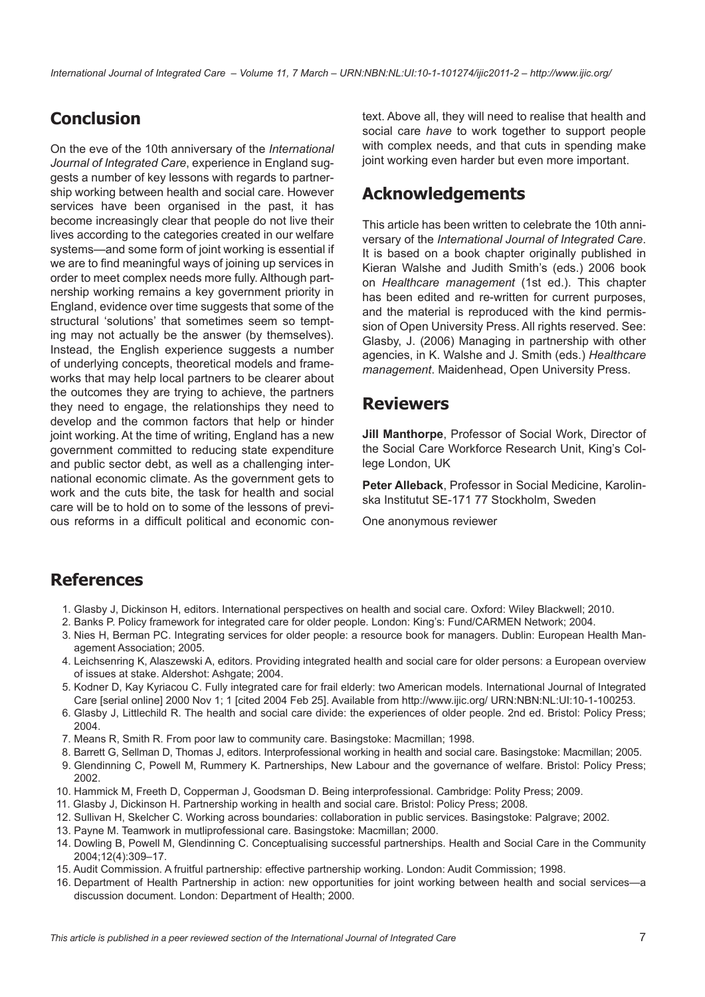<span id="page-6-0"></span>*International Journal of Integrated Care – Volume 11, 7 March – URN:NBN:NL:UI:10-1-101274/ijic2011-2 – http://www.ijic.org/*

# **Conclusion**

On the eve of the 10th anniversary of the *International Journal of Integrated Care*, experience in England suggests a number of key lessons with regards to partnership working between health and social care. However services have been organised in the past, it has become increasingly clear that people do not live their lives according to the categories created in our welfare systems—and some form of joint working is essential if we are to find meaningful ways of joining up services in order to meet complex needs more fully. Although partnership working remains a key government priority in England, evidence over time suggests that some of the structural 'solutions' that sometimes seem so tempting may not actually be the answer (by themselves). Instead, the English experience suggests a number of underlying concepts, theoretical models and frameworks that may help local partners to be clearer about the outcomes they are trying to achieve, the partners they need to engage, the relationships they need to develop and the common factors that help or hinder joint working. At the time of writing, England has a new government committed to reducing state expenditure and public sector debt, as well as a challenging international economic climate. As the government gets to work and the cuts bite, the task for health and social care will be to hold on to some of the lessons of previous reforms in a difficult political and economic context. Above all, they will need to realise that health and social care *have* to work together to support people with complex needs, and that cuts in spending make joint working even harder but even more important.

# **Acknowledgements**

This article has been written to celebrate the 10th anniversary of the *International Journal of Integrated Care*. It is based on a book chapter originally published in Kieran Walshe and Judith Smith's (eds.) 2006 book on *Healthcare management* (1st ed.). This chapter has been edited and re-written for current purposes, and the material is reproduced with the kind permission of Open University Press. All rights reserved. See: Glasby, J. (2006) Managing in partnership with other agencies, in K. Walshe and J. Smith (eds.) *Healthcare management*. Maidenhead, Open University Press.

# **Reviewers**

**Jill Manthorpe**, Professor of Social Work, Director of the Social Care Workforce Research Unit, King's College London, UK

**Peter Alleback**, Professor in Social Medicine, Karolinska Institutut SE-171 77 Stockholm, Sweden

One anonymous reviewer

# **References**

- 1. Glasby J, Dickinson H, editors. International perspectives on health and social care. Oxford: Wiley Blackwell; 2010.
- 2. Banks P. Policy framework for integrated care for older people. London: King's: Fund/CARMEN Network; 2004.
- 3. Nies H, Berman PC. Integrating services for older people: a resource book for managers. Dublin: European Health Management Association; 2005.
- 4. Leichsenring K, Alaszewski A, editors. Providing integrated health and social care for older persons: a European overview of issues at stake. Aldershot: Ashgate; 2004.
- 5. Kodner D, Kay Kyriacou C. Fully integrated care for frail elderly: two American models. International Journal of Integrated Care [serial online] 2000 Nov 1; 1 [cited 2004 Feb 25]. Available from <http://www.ijic.org/> [URN:NBN:NL:UI:10-1-100253.](http://persistent-identifier.nl/?identifier=URN:NBN:NL:UI:10-1-100253)
- 6. Glasby J, Littlechild R. The health and social care divide: the experiences of older people. 2nd ed. Bristol: Policy Press; 2004.
- 7. Means R, Smith R. From poor law to community care. Basingstoke: Macmillan; 1998.
- 8. Barrett G, Sellman D, Thomas J, editors. Interprofessional working in health and social care. Basingstoke: Macmillan; 2005.
- 9. Glendinning C, Powell M, Rummery K. Partnerships, New Labour and the governance of welfare. Bristol: Policy Press; 2002.
- 10. Hammick M, Freeth D, Copperman J, Goodsman D. Being interprofessional. Cambridge: Polity Press; 2009.
- 11. Glasby J, Dickinson H. Partnership working in health and social care. Bristol: Policy Press; 2008.
- 12. Sullivan H, Skelcher C. Working across boundaries: collaboration in public services. Basingstoke: Palgrave; 2002.
- 13. Payne M. Teamwork in mutliprofessional care. Basingstoke: Macmillan; 2000.
- 14. Dowling B, Powell M, Glendinning C. Conceptualising successful partnerships. Health and Social Care in the Community 2004;12(4):309–17.
- 15. Audit Commission. A fruitful partnership: effective partnership working. London: Audit Commission; 1998.
- 16. Department of Health Partnership in action: new opportunities for joint working between health and social services—a discussion document. London: Department of Health; 2000.